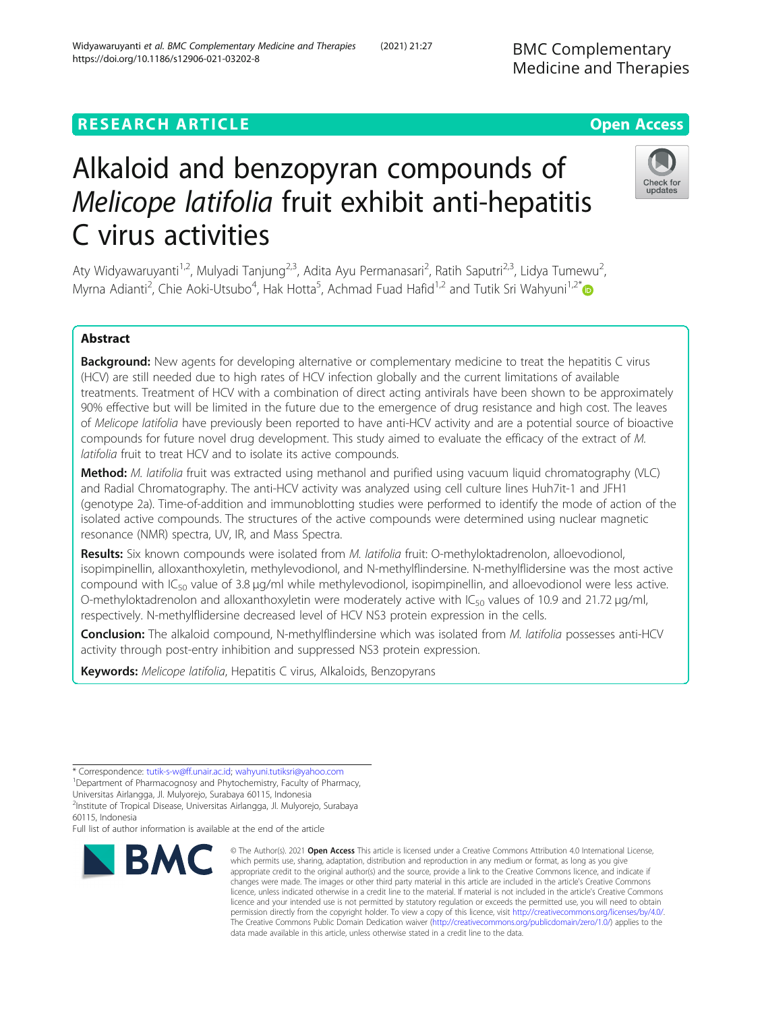# **RESEARCH ARTICLE Example 2014 12:30 The Contract of Contract ACCESS**

# Alkaloid and benzopyran compounds of Melicope latifolia fruit exhibit anti-hepatitis C virus activities

Aty Widyawaruyanti<sup>1,2</sup>, Mulyadi Tanjung<sup>2,3</sup>, Adita Ayu Permanasari<sup>2</sup>, Ratih Saputri<sup>2,3</sup>, Lidya Tumewu<sup>2</sup> , Myrna Adianti<sup>2</sup>, Chie Aoki-Utsubo<sup>4</sup>, Hak Hotta<sup>5</sup>, Achmad Fuad Hafid<sup>1,2</sup> and Tutik Sri Wahyuni<sup>1,2[\\*](http://orcid.org/0000-0003-2049-7774)</sup>

# Abstract

Background: New agents for developing alternative or complementary medicine to treat the hepatitis C virus (HCV) are still needed due to high rates of HCV infection globally and the current limitations of available treatments. Treatment of HCV with a combination of direct acting antivirals have been shown to be approximately 90% effective but will be limited in the future due to the emergence of drug resistance and high cost. The leaves of Melicope latifolia have previously been reported to have anti-HCV activity and are a potential source of bioactive compounds for future novel drug development. This study aimed to evaluate the efficacy of the extract of M. latifolia fruit to treat HCV and to isolate its active compounds.

Method: M. latifolia fruit was extracted using methanol and purified using vacuum liquid chromatography (VLC) and Radial Chromatography. The anti-HCV activity was analyzed using cell culture lines Huh7it-1 and JFH1 (genotype 2a). Time-of-addition and immunoblotting studies were performed to identify the mode of action of the isolated active compounds. The structures of the active compounds were determined using nuclear magnetic resonance (NMR) spectra, UV, IR, and Mass Spectra.

Results: Six known compounds were isolated from M. latifolia fruit: O-methyloktadrenolon, alloevodionol, isopimpinellin, alloxanthoxyletin, methylevodionol, and N-methylflindersine. N-methylflidersine was the most active compound with  $IC_{50}$  value of 3.8  $\mu$ g/ml while methylevodionol, isopimpinellin, and alloevodionol were less active. O-methyloktadrenolon and alloxanthoxyletin were moderately active with IC<sub>50</sub> values of 10.9 and 21.72  $\mu$ g/ml, respectively. N-methylflidersine decreased level of HCV NS3 protein expression in the cells.

Conclusion: The alkaloid compound, N-methylflindersine which was isolated from M. latifolia possesses anti-HCV activity through post-entry inhibition and suppressed NS3 protein expression.

Keywords: Melicope latifolia, Hepatitis C virus, Alkaloids, Benzopyrans

\* Correspondence: [tutik-s-w@ff.unair.ac.id;](mailto:tutik-s-w@ff.unair.ac.id) [wahyuni.tutiksri@yahoo.com](mailto:wahyuni.tutiksri@yahoo.com) <sup>1</sup>

<sup>1</sup>Department of Pharmacognosy and Phytochemistry, Faculty of Pharmacy, Universitas Airlangga, Jl. Mulyorejo, Surabaya 60115, Indonesia 2 Institute of Tropical Disease, Universitas Airlangga, Jl. Mulyorejo, Surabaya

60115, Indonesia

**BMC** 

Full list of author information is available at the end of the article

which permits use, sharing, adaptation, distribution and reproduction in any medium or format, as long as you give appropriate credit to the original author(s) and the source, provide a link to the Creative Commons licence, and indicate if changes were made. The images or other third party material in this article are included in the article's Creative Commons licence, unless indicated otherwise in a credit line to the material. If material is not included in the article's Creative Commons licence and your intended use is not permitted by statutory regulation or exceeds the permitted use, you will need to obtain permission directly from the copyright holder. To view a copy of this licence, visit [http://creativecommons.org/licenses/by/4.0/.](http://creativecommons.org/licenses/by/4.0/) The Creative Commons Public Domain Dedication waiver [\(http://creativecommons.org/publicdomain/zero/1.0/](http://creativecommons.org/publicdomain/zero/1.0/)) applies to the data made available in this article, unless otherwise stated in a credit line to the data.

© The Author(s), 2021 **Open Access** This article is licensed under a Creative Commons Attribution 4.0 International License,



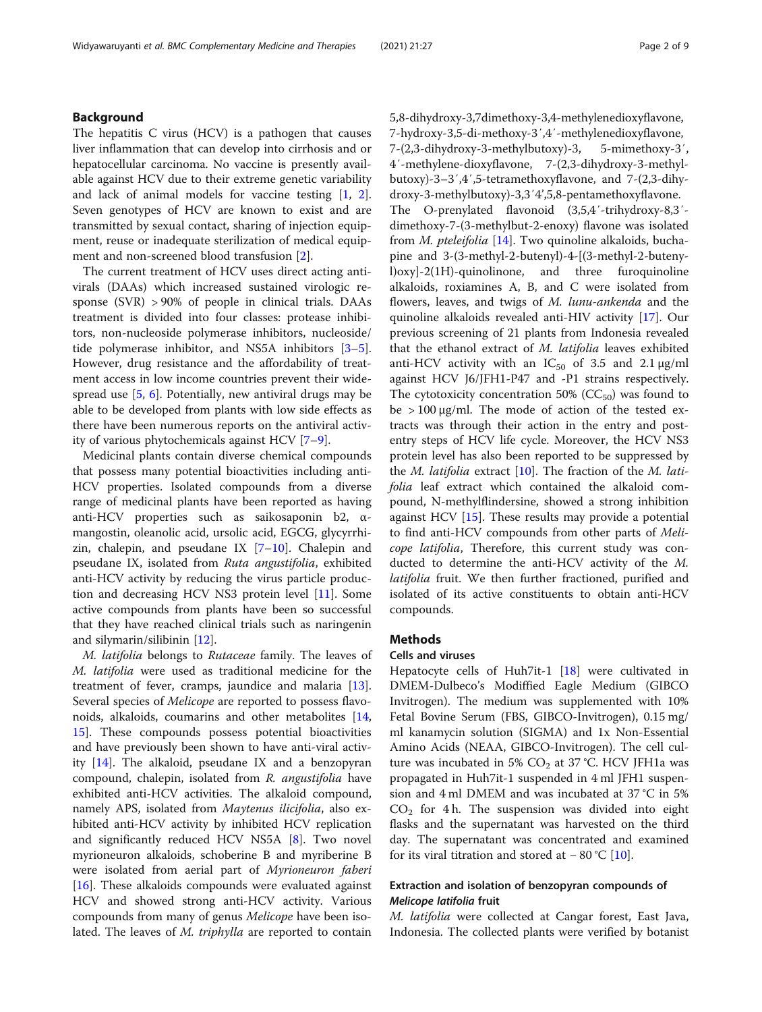# Background

The hepatitis C virus (HCV) is a pathogen that causes liver inflammation that can develop into cirrhosis and or hepatocellular carcinoma. No vaccine is presently available against HCV due to their extreme genetic variability and lack of animal models for vaccine testing [[1,](#page-7-0) [2](#page-7-0)]. Seven genotypes of HCV are known to exist and are transmitted by sexual contact, sharing of injection equipment, reuse or inadequate sterilization of medical equipment and non-screened blood transfusion [[2\]](#page-7-0).

The current treatment of HCV uses direct acting antivirals (DAAs) which increased sustained virologic response (SVR) > 90% of people in clinical trials. DAAs treatment is divided into four classes: protease inhibitors, non-nucleoside polymerase inhibitors, nucleoside/ tide polymerase inhibitor, and NS5A inhibitors [\[3](#page-7-0)–[5](#page-7-0)]. However, drug resistance and the affordability of treatment access in low income countries prevent their widespread use [\[5](#page-7-0), [6\]](#page-7-0). Potentially, new antiviral drugs may be able to be developed from plants with low side effects as there have been numerous reports on the antiviral activity of various phytochemicals against HCV [[7](#page-7-0)–[9](#page-7-0)].

Medicinal plants contain diverse chemical compounds that possess many potential bioactivities including anti-HCV properties. Isolated compounds from a diverse range of medicinal plants have been reported as having anti-HCV properties such as saikosaponin b2, αmangostin, oleanolic acid, ursolic acid, EGCG, glycyrrhizin, chalepin, and pseudane IX  $[7-10]$  $[7-10]$  $[7-10]$  $[7-10]$ . Chalepin and pseudane IX, isolated from Ruta angustifolia, exhibited anti-HCV activity by reducing the virus particle production and decreasing HCV NS3 protein level [[11](#page-7-0)]. Some active compounds from plants have been so successful that they have reached clinical trials such as naringenin and silymarin/silibinin [\[12](#page-7-0)].

M. latifolia belongs to Rutaceae family. The leaves of M. latifolia were used as traditional medicine for the treatment of fever, cramps, jaundice and malaria [\[13](#page-7-0)]. Several species of Melicope are reported to possess flavonoids, alkaloids, coumarins and other metabolites [[14](#page-7-0), [15\]](#page-7-0). These compounds possess potential bioactivities and have previously been shown to have anti-viral activity [[14\]](#page-7-0). The alkaloid, pseudane IX and a benzopyran compound, chalepin, isolated from R. angustifolia have exhibited anti-HCV activities. The alkaloid compound, namely APS, isolated from Maytenus ilicifolia, also exhibited anti-HCV activity by inhibited HCV replication and significantly reduced HCV NS5A [[8\]](#page-7-0). Two novel myrioneuron alkaloids, schoberine B and myriberine B were isolated from aerial part of Myrioneuron faberi [[16\]](#page-7-0). These alkaloids compounds were evaluated against HCV and showed strong anti-HCV activity. Various compounds from many of genus Melicope have been isolated. The leaves of *M. triphylla* are reported to contain 5,8-dihydroxy-3,7dimethoxy-3,4-methylenedioxyflavone, 7-hydroxy-3,5-di-methoxy-3′,4′-methylenedioxyflavone, 7-(2,3-dihydroxy-3-methylbutoxy)-3, 5-mimethoxy-3′, 4′-methylene-dioxyflavone, 7-(2,3-dihydroxy-3-methylbutoxy)-3–3′,4′,5-tetramethoxyflavone, and 7-(2,3-dihydroxy-3-methylbutoxy)-3,3′4',5,8-pentamethoxyflavone. The O-prenylated flavonoid (3,5,4′-trihydroxy-8,3′ dimethoxy-7-(3-methylbut-2-enoxy) flavone was isolated from *M. pteleifolia* [\[14\]](#page-7-0). Two quinoline alkaloids, buchapine and 3-(3-methyl-2-butenyl)-4-[(3-methyl-2-butenyl)oxy]-2(1H)-quinolinone, and three furoquinoline alkaloids, roxiamines A, B, and C were isolated from flowers, leaves, and twigs of M. lunu-ankenda and the quinoline alkaloids revealed anti-HIV activity [[17](#page-7-0)]. Our previous screening of 21 plants from Indonesia revealed that the ethanol extract of M. latifolia leaves exhibited anti-HCV activity with an  $IC_{50}$  of 3.5 and 2.1  $\mu$ g/ml against HCV J6/JFH1-P47 and -P1 strains respectively. The cytotoxicity concentration 50% ( $CC_{50}$ ) was found to be  $> 100 \mu g/ml$ . The mode of action of the tested extracts was through their action in the entry and postentry steps of HCV life cycle. Moreover, the HCV NS3 protein level has also been reported to be suppressed by the *M. latifolia* extract  $[10]$  $[10]$  $[10]$ . The fraction of the *M. lati*folia leaf extract which contained the alkaloid compound, N-methylflindersine, showed a strong inhibition against HCV  $[15]$ . These results may provide a potential to find anti-HCV compounds from other parts of Melicope latifolia, Therefore, this current study was conducted to determine the anti-HCV activity of the M. latifolia fruit. We then further fractioned, purified and isolated of its active constituents to obtain anti-HCV compounds.

# Methods

# Cells and viruses

Hepatocyte cells of Huh7it-1 [[18\]](#page-7-0) were cultivated in DMEM-Dulbeco's Modiffied Eagle Medium (GIBCO Invitrogen). The medium was supplemented with 10% Fetal Bovine Serum (FBS, GIBCO-Invitrogen), 0.15 mg/ ml kanamycin solution (SIGMA) and 1x Non-Essential Amino Acids (NEAA, GIBCO-Invitrogen). The cell culture was incubated in 5%  $CO<sub>2</sub>$  at 37 °C. HCV JFH1a was propagated in Huh7it-1 suspended in 4 ml JFH1 suspension and 4 ml DMEM and was incubated at 37 °C in 5%  $CO<sub>2</sub>$  for 4 h. The suspension was divided into eight flasks and the supernatant was harvested on the third day. The supernatant was concentrated and examined for its viral titration and stored at  $-80$  °C [\[10](#page-7-0)].

# Extraction and isolation of benzopyran compounds of Melicope latifolia fruit

M. latifolia were collected at Cangar forest, East Java, Indonesia. The collected plants were verified by botanist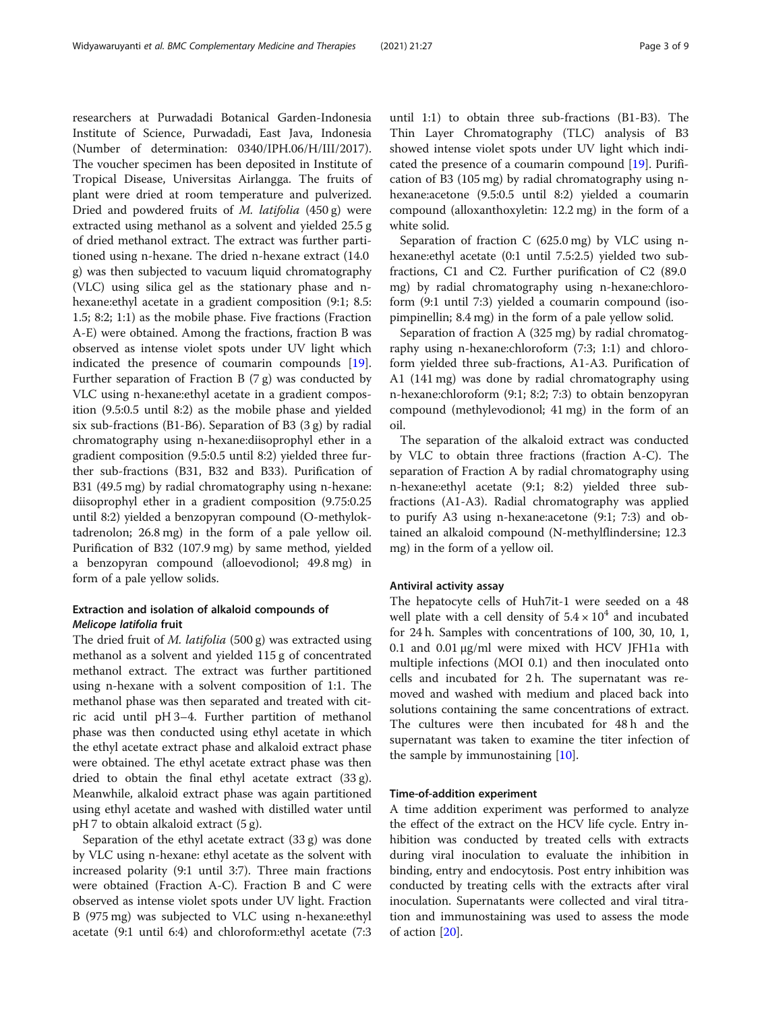researchers at Purwadadi Botanical Garden-Indonesia Institute of Science, Purwadadi, East Java, Indonesia (Number of determination: 0340/IPH.06/H/III/2017). The voucher specimen has been deposited in Institute of Tropical Disease, Universitas Airlangga. The fruits of plant were dried at room temperature and pulverized. Dried and powdered fruits of M. latifolia (450 g) were extracted using methanol as a solvent and yielded 25.5 g of dried methanol extract. The extract was further partitioned using n-hexane. The dried n-hexane extract (14.0 g) was then subjected to vacuum liquid chromatography (VLC) using silica gel as the stationary phase and nhexane: ethyl acetate in a gradient composition  $(9:1; 8.5:$ 1.5; 8:2; 1:1) as the mobile phase. Five fractions (Fraction A-E) were obtained. Among the fractions, fraction B was observed as intense violet spots under UV light which indicated the presence of coumarin compounds [\[19](#page-7-0)]. Further separation of Fraction B  $(7 g)$  was conducted by VLC using n-hexane:ethyl acetate in a gradient composition (9.5:0.5 until 8:2) as the mobile phase and yielded six sub-fractions (B1-B6). Separation of B3 (3 g) by radial chromatography using n-hexane:diisoprophyl ether in a gradient composition (9.5:0.5 until 8:2) yielded three further sub-fractions (B31, B32 and B33). Purification of B31 (49.5 mg) by radial chromatography using n-hexane: diisoprophyl ether in a gradient composition (9.75:0.25 until 8:2) yielded a benzopyran compound (O-methyloktadrenolon; 26.8 mg) in the form of a pale yellow oil. Purification of B32 (107.9 mg) by same method, yielded a benzopyran compound (alloevodionol; 49.8 mg) in form of a pale yellow solids.

# Extraction and isolation of alkaloid compounds of Melicope latifolia fruit

The dried fruit of *M. latifolia* (500 g) was extracted using methanol as a solvent and yielded 115 g of concentrated methanol extract. The extract was further partitioned using n-hexane with a solvent composition of 1:1. The methanol phase was then separated and treated with citric acid until pH 3–4. Further partition of methanol phase was then conducted using ethyl acetate in which the ethyl acetate extract phase and alkaloid extract phase were obtained. The ethyl acetate extract phase was then dried to obtain the final ethyl acetate extract (33 g). Meanwhile, alkaloid extract phase was again partitioned using ethyl acetate and washed with distilled water until pH 7 to obtain alkaloid extract (5 g).

Separation of the ethyl acetate extract (33 g) was done by VLC using n-hexane: ethyl acetate as the solvent with increased polarity (9:1 until 3:7). Three main fractions were obtained (Fraction A-C). Fraction B and C were observed as intense violet spots under UV light. Fraction B (975 mg) was subjected to VLC using n-hexane:ethyl acetate (9:1 until 6:4) and chloroform:ethyl acetate (7:3

until 1:1) to obtain three sub-fractions (B1-B3). The Thin Layer Chromatography (TLC) analysis of B3 showed intense violet spots under UV light which indicated the presence of a coumarin compound [\[19](#page-7-0)]. Purification of B3 (105 mg) by radial chromatography using nhexane:acetone (9.5:0.5 until 8:2) yielded a coumarin compound (alloxanthoxyletin: 12.2 mg) in the form of a white solid.

Separation of fraction C (625.0 mg) by VLC using nhexane:ethyl acetate (0:1 until 7.5:2.5) yielded two subfractions, C1 and C2. Further purification of C2 (89.0 mg) by radial chromatography using n-hexane:chloroform (9:1 until 7:3) yielded a coumarin compound (isopimpinellin; 8.4 mg) in the form of a pale yellow solid.

Separation of fraction A (325 mg) by radial chromatography using n-hexane:chloroform (7:3; 1:1) and chloroform yielded three sub-fractions, A1-A3. Purification of A1 (141 mg) was done by radial chromatography using n-hexane:chloroform (9:1; 8:2; 7:3) to obtain benzopyran compound (methylevodionol; 41 mg) in the form of an oil.

The separation of the alkaloid extract was conducted by VLC to obtain three fractions (fraction A-C). The separation of Fraction A by radial chromatography using n-hexane:ethyl acetate (9:1; 8:2) yielded three subfractions (A1-A3). Radial chromatography was applied to purify A3 using n-hexane:acetone (9:1; 7:3) and obtained an alkaloid compound (N-methylflindersine; 12.3 mg) in the form of a yellow oil.

# Antiviral activity assay

The hepatocyte cells of Huh7it-1 were seeded on a 48 well plate with a cell density of  $5.4 \times 10^4$  and incubated for 24 h. Samples with concentrations of 100, 30, 10, 1, 0.1 and 0.01 μg/ml were mixed with HCV JFH1a with multiple infections (MOI 0.1) and then inoculated onto cells and incubated for 2 h. The supernatant was removed and washed with medium and placed back into solutions containing the same concentrations of extract. The cultures were then incubated for 48 h and the supernatant was taken to examine the titer infection of the sample by immunostaining [\[10](#page-7-0)].

#### Time-of-addition experiment

A time addition experiment was performed to analyze the effect of the extract on the HCV life cycle. Entry inhibition was conducted by treated cells with extracts during viral inoculation to evaluate the inhibition in binding, entry and endocytosis. Post entry inhibition was conducted by treating cells with the extracts after viral inoculation. Supernatants were collected and viral titration and immunostaining was used to assess the mode of action [[20\]](#page-7-0).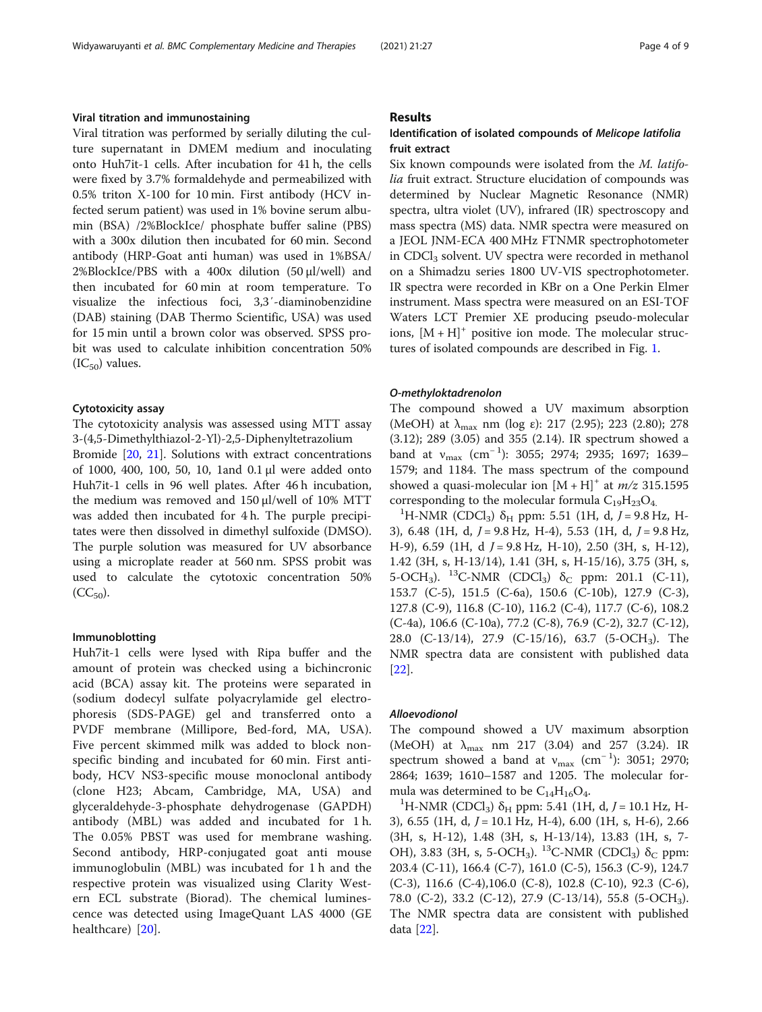# Viral titration and immunostaining

Viral titration was performed by serially diluting the culture supernatant in DMEM medium and inoculating onto Huh7it-1 cells. After incubation for 41 h, the cells were fixed by 3.7% formaldehyde and permeabilized with 0.5% triton X-100 for 10 min. First antibody (HCV infected serum patient) was used in 1% bovine serum albumin (BSA) /2%BlockIce/ phosphate buffer saline (PBS) with a 300x dilution then incubated for 60 min. Second antibody (HRP-Goat anti human) was used in 1%BSA/ 2%BlockIce/PBS with a 400x dilution (50 μl/well) and then incubated for 60 min at room temperature. To visualize the infectious foci, 3,3′-diaminobenzidine (DAB) staining (DAB Thermo Scientific, USA) was used for 15 min until a brown color was observed. SPSS probit was used to calculate inhibition concentration 50%  $(IC_{50})$  values.

#### Cytotoxicity assay

The cytotoxicity analysis was assessed using MTT assay 3-(4,5-Dimethylthiazol-2-Yl)-2,5-Diphenyltetrazolium

Bromide [[20,](#page-7-0) [21\]](#page-7-0). Solutions with extract concentrations of 1000, 400, 100, 50, 10, 1and 0.1 μl were added onto Huh7it-1 cells in 96 well plates. After 46 h incubation, the medium was removed and 150 μl/well of 10% MTT was added then incubated for 4 h. The purple precipitates were then dissolved in dimethyl sulfoxide (DMSO). The purple solution was measured for UV absorbance using a microplate reader at 560 nm. SPSS probit was used to calculate the cytotoxic concentration 50%  $(CC_{50})$ .

# Immunoblotting

Huh7it-1 cells were lysed with Ripa buffer and the amount of protein was checked using a bichincronic acid (BCA) assay kit. The proteins were separated in (sodium dodecyl sulfate polyacrylamide gel electrophoresis (SDS-PAGE) gel and transferred onto a PVDF membrane (Millipore, Bed-ford, MA, USA). Five percent skimmed milk was added to block nonspecific binding and incubated for 60 min. First antibody, HCV NS3-specific mouse monoclonal antibody (clone H23; Abcam, Cambridge, MA, USA) and glyceraldehyde-3-phosphate dehydrogenase (GAPDH) antibody (MBL) was added and incubated for 1 h. The 0.05% PBST was used for membrane washing. Second antibody, HRP-conjugated goat anti mouse immunoglobulin (MBL) was incubated for 1 h and the respective protein was visualized using Clarity Western ECL substrate (Biorad). The chemical luminescence was detected using ImageQuant LAS 4000 (GE healthcare) [[20](#page-7-0)].

# Results

# Identification of isolated compounds of Melicope latifolia fruit extract

Six known compounds were isolated from the M. latifolia fruit extract. Structure elucidation of compounds was determined by Nuclear Magnetic Resonance (NMR) spectra, ultra violet (UV), infrared (IR) spectroscopy and mass spectra (MS) data. NMR spectra were measured on a JEOL JNM-ECA 400 MHz FTNMR spectrophotometer in CDCl<sub>3</sub> solvent. UV spectra were recorded in methanol on a Shimadzu series 1800 UV-VIS spectrophotometer. IR spectra were recorded in KBr on a One Perkin Elmer instrument. Mass spectra were measured on an ESI-TOF Waters LCT Premier XE producing pseudo-molecular ions,  $[M + H]^+$  positive ion mode. The molecular structures of isolated compounds are described in Fig. [1](#page-4-0).

#### O-methyloktadrenolon

The compound showed a UV maximum absorption (MeOH) at  $\lambda_{\text{max}}$  nm (log ε): 217 (2.95); 223 (2.80); 278 (3.12); 289 (3.05) and 355 (2.14). IR spectrum showed a band at  $v_{\text{max}}$  (cm<sup>-1</sup>): 3055; 2974; 2935; 1697; 1639– 1579; and 1184. The mass spectrum of the compound showed a quasi-molecular ion  $[M + H]^{+}$  at  $m/z$  315.1595 corresponding to the molecular formula  $C_{19}H_{23}O_4$ .

<sup>1</sup>H-NMR (CDCl<sub>3</sub>) δ<sub>H</sub> ppm: 5.51 (1H, d, J = 9.8 Hz, H-3), 6.48 (1H, d,  $J = 9.8$  Hz, H-4), 5.53 (1H, d,  $J = 9.8$  Hz, H-9), 6.59 (1H, d  $J = 9.8$  Hz, H-10), 2.50 (3H, s, H-12), 1.42 (3H, s, H-13/14), 1.41 (3H, s, H-15/16), 3.75 (3H, s, 5-OCH<sub>3</sub>). <sup>13</sup>C-NMR (CDCl<sub>3</sub>)  $\delta_c$  ppm: 201.1 (C-11), 153.7 (C-5), 151.5 (C-6a), 150.6 (C-10b), 127.9 (C-3), 127.8 (C-9), 116.8 (C-10), 116.2 (C-4), 117.7 (C-6), 108.2 (C-4a), 106.6 (C-10a), 77.2 (C-8), 76.9 (C-2), 32.7 (C-12), 28.0 (C-13/14), 27.9 (C-15/16), 63.7 (5-OCH3). The NMR spectra data are consistent with published data [[22\]](#page-7-0).

#### Alloevodionol

The compound showed a UV maximum absorption (MeOH) at  $\lambda_{\text{max}}$  nm 217 (3.04) and 257 (3.24). IR spectrum showed a band at  $v_{\text{max}}$  (cm<sup>-1</sup>): 3051; 2970; 2864; 1639; 1610–1587 and 1205. The molecular formula was determined to be  $C_{14}H_{16}O_4$ .

<sup>1</sup>H-NMR (CDCl<sub>3</sub>) δ<sub>H</sub> ppm: 5.41 (1H, d, *J* = 10.1 Hz, H-3), 6.55 (1H, d,  $J = 10.1$  Hz, H-4), 6.00 (1H, s, H-6), 2.66 (3H, s, H-12), 1.48 (3H, s, H-13/14), 13.83 (1H, s, 7- OH), 3.83 (3H, s, 5-OCH<sub>3</sub>). <sup>13</sup>C-NMR (CDCl<sub>3</sub>)  $\delta_c$  ppm: 203.4 (C-11), 166.4 (C-7), 161.0 (C-5), 156.3 (C-9), 124.7 (C-3), 116.6 (C-4),106.0 (C-8), 102.8 (C-10), 92.3 (C-6), 78.0 (C-2), 33.2 (C-12), 27.9 (C-13/14), 55.8 (5-OCH3). The NMR spectra data are consistent with published data [\[22\]](#page-7-0).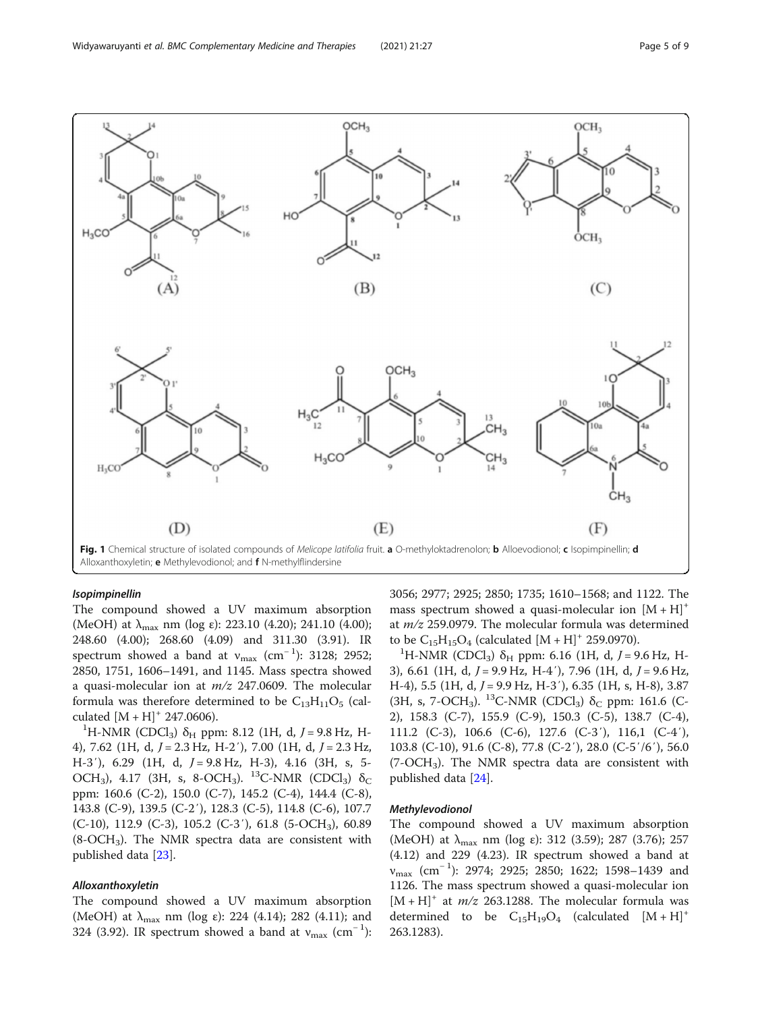<span id="page-4-0"></span>

#### Isopimpinellin

The compound showed a UV maximum absorption (MeOH) at  $\lambda_{\text{max}}$  nm (log  $\varepsilon$ ): 223.10 (4.20); 241.10 (4.00); 248.60 (4.00); 268.60 (4.09) and 311.30 (3.91). IR spectrum showed a band at  $v_{\text{max}}$  (cm<sup>-1</sup>): 3128; 2952; 2850, 1751, 1606–1491, and 1145. Mass spectra showed a quasi-molecular ion at  $m/z$  247.0609. The molecular formula was therefore determined to be  $C_{13}H_{11}O_5$  (calculated  $[M + H]$ <sup>+</sup> 247.0606).

<sup>1</sup>H-NMR (CDCl<sub>3</sub>) δ<sub>H</sub> ppm: 8.12 (1H, d, *J* = 9.8 Hz, H-4), 7.62 (1H, d,  $J = 2.3$  Hz, H-2'), 7.00 (1H, d,  $J = 2.3$  Hz, H-3'), 6.29 (1H, d,  $J = 9.8$  Hz, H-3), 4.16 (3H, s, 5-OCH<sub>3</sub>), 4.17 (3H, s, 8-OCH<sub>3</sub>). <sup>13</sup>C-NMR (CDCl<sub>3</sub>)  $\delta_C$ ppm: 160.6 (C-2), 150.0 (C-7), 145.2 (C-4), 144.4 (C-8), 143.8 (C-9), 139.5 (C-2′), 128.3 (C-5), 114.8 (C-6), 107.7  $(C-10)$ , 112.9  $(C-3)$ , 105.2  $(C-3')$ , 61.8  $(5-CCH_3)$ , 60.89  $(8\text{-}OCH_3)$ . The NMR spectra data are consistent with published data [\[23](#page-7-0)].

# Alloxanthoxyletin

The compound showed a UV maximum absorption (MeOH) at  $\lambda_{\text{max}}$  nm (log  $\varepsilon$ ): 224 (4.14); 282 (4.11); and 324 (3.92). IR spectrum showed a band at  $v_{\text{max}}$  (cm<sup>-1</sup>):

3056; 2977; 2925; 2850; 1735; 1610–1568; and 1122. The mass spectrum showed a quasi-molecular ion  $[M + H]$ <sup>+</sup> at  $m/z$  259.0979. The molecular formula was determined to be  $C_{15}H_{15}O_4$  (calculated  $[M + H]^+$  259.0970).

<sup>1</sup>H-NMR (CDCl<sub>3</sub>) δ<sub>H</sub> ppm: 6.16 (1H, d, *J* = 9.6 Hz, H-3), 6.61 (1H, d,  $J = 9.9$  Hz, H-4'), 7.96 (1H, d,  $J = 9.6$  Hz, H-4), 5.5 (1H, d,  $J = 9.9$  Hz, H-3'), 6.35 (1H, s, H-8), 3.87 (3H, s, 7-OCH<sub>3</sub>). <sup>13</sup>C-NMR (CDCl<sub>3</sub>)  $\delta$ <sub>C</sub> ppm: 161.6 (C-2), 158.3 (C-7), 155.9 (C-9), 150.3 (C-5), 138.7 (C-4), 111.2 (C-3), 106.6 (C-6), 127.6 (C-3′), 116,1 (C-4′), 103.8 (C-10), 91.6 (C-8), 77.8 (C-2′), 28.0 (C-5′/6′), 56.0  $(7\text{-}OCH_3)$ . The NMR spectra data are consistent with published data [\[24](#page-7-0)].

# Methylevodionol

The compound showed a UV maximum absorption (MeOH) at  $\lambda_{\text{max}}$  nm (log ε): 312 (3.59); 287 (3.76); 257 (4.12) and 229 (4.23). IR spectrum showed a band at v<sub>max</sub> (cm<sup>-1</sup>): 2974; 2925; 2850; 1622; 1598−1439 and 1126. The mass spectrum showed a quasi-molecular ion  $[M + H]^{+}$  at  $m/z$  263.1288. The molecular formula was determined to be  $C_{15}H_{19}O_4$  (calculated  $[M+H]^+$ 263.1283).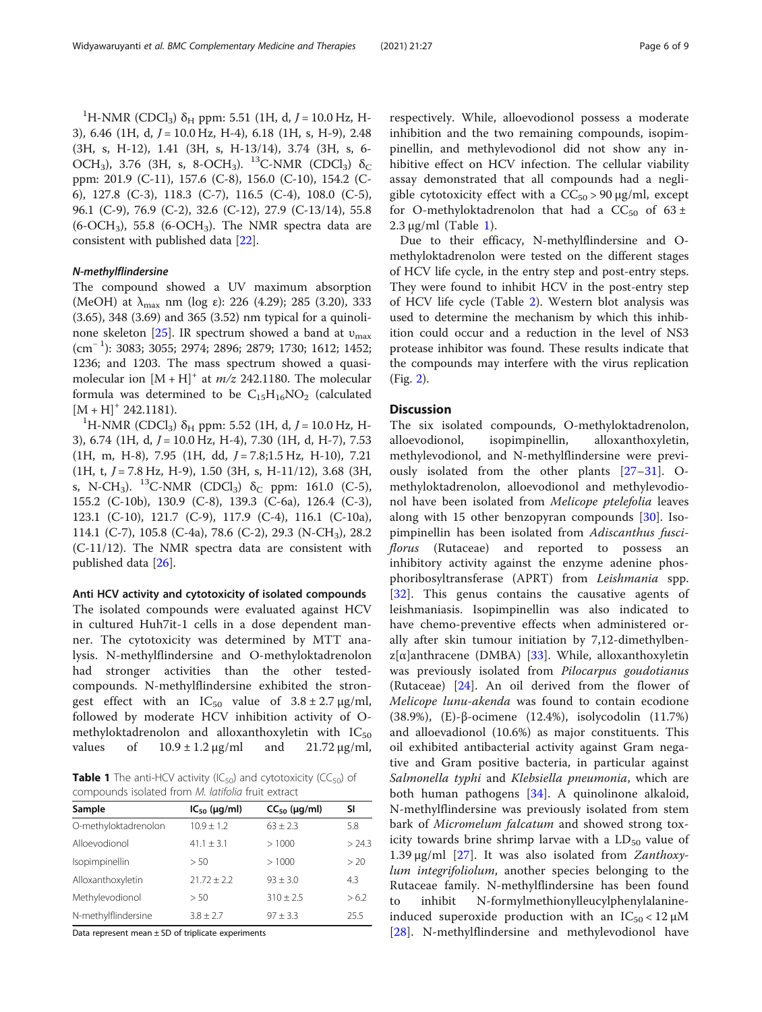<span id="page-5-0"></span><sup>1</sup>H-NMR (CDCl<sub>3</sub>) δ<sub>H</sub> ppm: 5.51 (1H, d, *J* = 10.0 Hz, H-3), 6.46 (1H, d,  $J = 10.0$  Hz, H-4), 6.18 (1H, s, H-9), 2.48 (3H, s, H-12), 1.41 (3H, s, H-13/14), 3.74 (3H, s, 6- OCH<sub>3</sub>), 3.76 (3H, s, 8-OCH<sub>3</sub>). <sup>13</sup>C-NMR (CDCl<sub>3</sub>)  $\delta_C$ ppm: 201.9 (C-11), 157.6 (C-8), 156.0 (C-10), 154.2 (C-6), 127.8 (C-3), 118.3 (C-7), 116.5 (C-4), 108.0 (C-5), 96.1 (C-9), 76.9 (C-2), 32.6 (C-12), 27.9 (C-13/14), 55.8  $(6\text{-}OCH_3)$ , 55.8  $(6\text{-}OCH_3)$ . The NMR spectra data are consistent with published data [\[22](#page-7-0)].

# N-methylflindersine

The compound showed a UV maximum absorption (MeOH) at  $\lambda_{\text{max}}$  nm (log ε): 226 (4.29); 285 (3.20), 333 (3.65), 348 (3.69) and 365 (3.52) nm typical for a quinoli-none skeleton [\[25](#page-7-0)]. IR spectrum showed a band at  $v_{\text{max}}$ (cm<sup>−</sup> <sup>1</sup> ): 3083; 3055; 2974; 2896; 2879; 1730; 1612; 1452; 1236; and 1203. The mass spectrum showed a quasimolecular ion  $[M + H]^+$  at  $m/z$  242.1180. The molecular formula was determined to be  $C_{15}H_{16}NO_2$  (calculated  $[M + H]$ <sup>+</sup> 242.1181).

<sup>1</sup>H-NMR (CDCl<sub>3</sub>) δ<sub>H</sub> ppm: 5.52 (1H, d, *J* = 10.0 Hz, H-3), 6.74 (1H, d, J = 10.0 Hz, H-4), 7.30 (1H, d, H-7), 7.53  $(1H, m, H-8), 7.95$   $(1H, dd, J = 7.8; 1.5 Hz, H-10), 7.21$  $(1H, t, J = 7.8 Hz, H-9), 1.50 (3H, s, H-11/12), 3.68 (3H,$ s, N-CH<sub>3</sub>). <sup>13</sup>C-NMR (CDCl<sub>3</sub>) δ<sub>C</sub> ppm: 161.0 (C-5), 155.2 (C-10b), 130.9 (C-8), 139.3 (C-6a), 126.4 (C-3), 123.1 (C-10), 121.7 (C-9), 117.9 (C-4), 116.1 (C-10a), 114.1 (C-7), 105.8 (C-4a), 78.6 (C-2), 29.3 (N-CH3), 28.2 (C-11/12). The NMR spectra data are consistent with published data [\[26](#page-7-0)].

# Anti HCV activity and cytotoxicity of isolated compounds

The isolated compounds were evaluated against HCV in cultured Huh7it-1 cells in a dose dependent manner. The cytotoxicity was determined by MTT analysis. N-methylflindersine and O-methyloktadrenolon had stronger activities than the other testedcompounds. N-methylflindersine exhibited the strongest effect with an  $IC_{50}$  value of  $3.8 \pm 2.7$  µg/ml, followed by moderate HCV inhibition activity of Omethyloktadrenolon and alloxanthoxyletin with  $IC_{50}$ values of  $10.9 \pm 1.2 \,\mu\text{g/ml}$  and  $21.72 \,\mu\text{g/ml}$ ,

**Table 1** The anti-HCV activity (IC<sub>50</sub>) and cytotoxicity (CC<sub>50</sub>) of compounds isolated from M. latifolia fruit extract

| Sample               | $IC_{50}$ (µg/ml) | $CC_{50}$ (µg/ml) | SI     |
|----------------------|-------------------|-------------------|--------|
| O-methyloktadrenolon | $10.9 \pm 1.2$    | $63 + 2.3$        | 5.8    |
| Alloevodionol        | $41.1 \pm 3.1$    | >1000             | > 24.3 |
| Isopimpinellin       | > 50              | >1000             | > 20   |
| Alloxanthoxyletin    | $21.72 + 2.2$     | $93 + 3.0$        | 4.3    |
| Methylevodionol      | > 50              | $310 + 2.5$       | >6.2   |
| N-methylflindersine  | $3.8 + 2.7$       | $97 + 3.3$        | 25.5   |

Data represent mean  $\pm$  SD of triplicate experiments

respectively. While, alloevodionol possess a moderate inhibition and the two remaining compounds, isopimpinellin, and methylevodionol did not show any inhibitive effect on HCV infection. The cellular viability assay demonstrated that all compounds had a negligible cytotoxicity effect with a  $CC_{50} > 90 \mu g/ml$ , except for O-methyloktadrenolon that had a  $CC_{50}$  of 63 ±  $2.3 \mu$ g/ml (Table 1).

Due to their efficacy, N-methylflindersine and Omethyloktadrenolon were tested on the different stages of HCV life cycle, in the entry step and post-entry steps. They were found to inhibit HCV in the post-entry step of HCV life cycle (Table [2\)](#page-6-0). Western blot analysis was used to determine the mechanism by which this inhibition could occur and a reduction in the level of NS3 protease inhibitor was found. These results indicate that the compounds may interfere with the virus replication (Fig. [2](#page-6-0)).

# **Discussion**

The six isolated compounds, O-methyloktadrenolon, alloevodionol, isopimpinellin, alloxanthoxyletin, methylevodionol, and N-methylflindersine were previously isolated from the other plants [[27](#page-7-0)–[31](#page-7-0)]. Omethyloktadrenolon, alloevodionol and methylevodionol have been isolated from Melicope ptelefolia leaves along with 15 other benzopyran compounds [[30\]](#page-7-0). Isopimpinellin has been isolated from Adiscanthus fusciflorus (Rutaceae) and reported to possess an inhibitory activity against the enzyme adenine phosphoribosyltransferase (APRT) from Leishmania spp. [[32\]](#page-8-0). This genus contains the causative agents of leishmaniasis. Isopimpinellin was also indicated to have chemo-preventive effects when administered orally after skin tumour initiation by 7,12-dimethylben $z[\alpha]$ anthracene (DMBA) [\[33](#page-8-0)]. While, alloxanthoxyletin was previously isolated from Pilocarpus goudotianus (Rutaceae) [[24\]](#page-7-0). An oil derived from the flower of Melicope lunu-akenda was found to contain ecodione (38.9%), (E)-β-ocimene (12.4%), isolycodolin (11.7%) and alloevadionol (10.6%) as major constituents. This oil exhibited antibacterial activity against Gram negative and Gram positive bacteria, in particular against Salmonella typhi and Klebsiella pneumonia, which are both human pathogens [[34\]](#page-8-0). A quinolinone alkaloid, N-methylflindersine was previously isolated from stem bark of Micromelum falcatum and showed strong toxicity towards brine shrimp larvae with a  $LD_{50}$  value of 1.39 μg/ml  $[27]$  $[27]$ . It was also isolated from *Zanthoxy*lum integrifoliolum, another species belonging to the Rutaceae family. N-methylflindersine has been found to inhibit N-formylmethionylleucylphenylalanineinduced superoxide production with an  $IC_{50}$  < 12  $\mu$ M [[28\]](#page-7-0). N-methylflindersine and methylevodionol have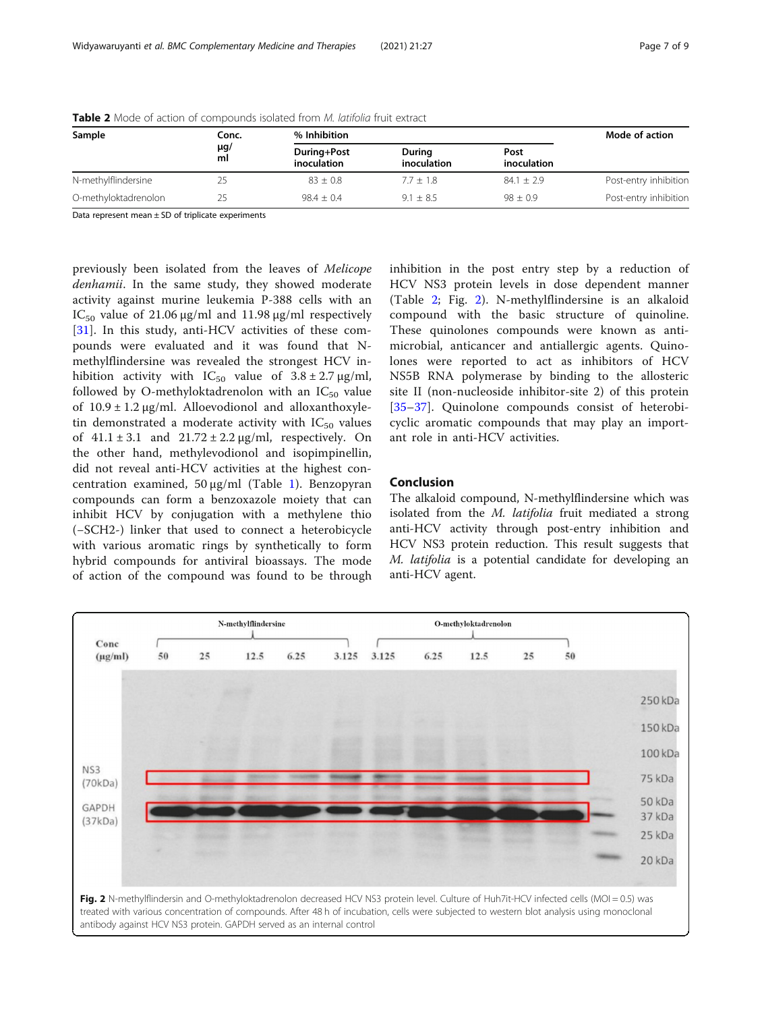| Sample               | Conc.          | % Inhibition               |                       |                     |                       |
|----------------------|----------------|----------------------------|-----------------------|---------------------|-----------------------|
|                      | $\mu$ g/<br>ml | During+Post<br>inoculation | During<br>inoculation | Post<br>inoculation |                       |
| N-methylflindersine  | 25             | $83 + 0.8$                 | $7.7 + 1.8$           | $84.1 + 2.9$        | Post-entry inhibition |
| O-methyloktadrenolon | 25             | $98.4 + 0.4$               | $9.1 + 8.5$           | $98 + 0.9$          | Post-entry inhibition |

<span id="page-6-0"></span>Table 2 Mode of action of compounds isolated from M. latifolia fruit extract

Data represent mean  $\pm$  SD of triplicate experiments

previously been isolated from the leaves of Melicope denhamii. In the same study, they showed moderate activity against murine leukemia P-388 cells with an IC<sub>50</sub> value of 21.06 μg/ml and 11.98 μg/ml respectively [[31\]](#page-7-0). In this study, anti-HCV activities of these compounds were evaluated and it was found that Nmethylflindersine was revealed the strongest HCV inhibition activity with  $IC_{50}$  value of  $3.8 \pm 2.7 \,\mu g/ml$ , followed by O-methyloktadrenolon with an  $IC_{50}$  value of  $10.9 \pm 1.2 \,\mu$ g/ml. Alloevodionol and alloxanthoxyletin demonstrated a moderate activity with  $IC_{50}$  values of  $41.1 \pm 3.1$  and  $21.72 \pm 2.2$   $\mu$ g/ml, respectively. On the other hand, methylevodionol and isopimpinellin, did not reveal anti-HCV activities at the highest concentration examined, 50 μg/ml (Table [1\)](#page-5-0). Benzopyran compounds can form a benzoxazole moiety that can inhibit HCV by conjugation with a methylene thio (−SCH2-) linker that used to connect a heterobicycle with various aromatic rings by synthetically to form hybrid compounds for antiviral bioassays. The mode of action of the compound was found to be through inhibition in the post entry step by a reduction of HCV NS3 protein levels in dose dependent manner (Table 2; Fig. 2). N-methylflindersine is an alkaloid compound with the basic structure of quinoline. These quinolones compounds were known as antimicrobial, anticancer and antiallergic agents. Quinolones were reported to act as inhibitors of HCV NS5B RNA polymerase by binding to the allosteric site II (non-nucleoside inhibitor-site 2) of this protein [[35](#page-8-0)–[37\]](#page-8-0). Quinolone compounds consist of heterobicyclic aromatic compounds that may play an important role in anti-HCV activities.

# Conclusion

The alkaloid compound, N-methylflindersine which was isolated from the M. latifolia fruit mediated a strong anti-HCV activity through post-entry inhibition and HCV NS3 protein reduction. This result suggests that M. latifolia is a potential candidate for developing an anti-HCV agent.

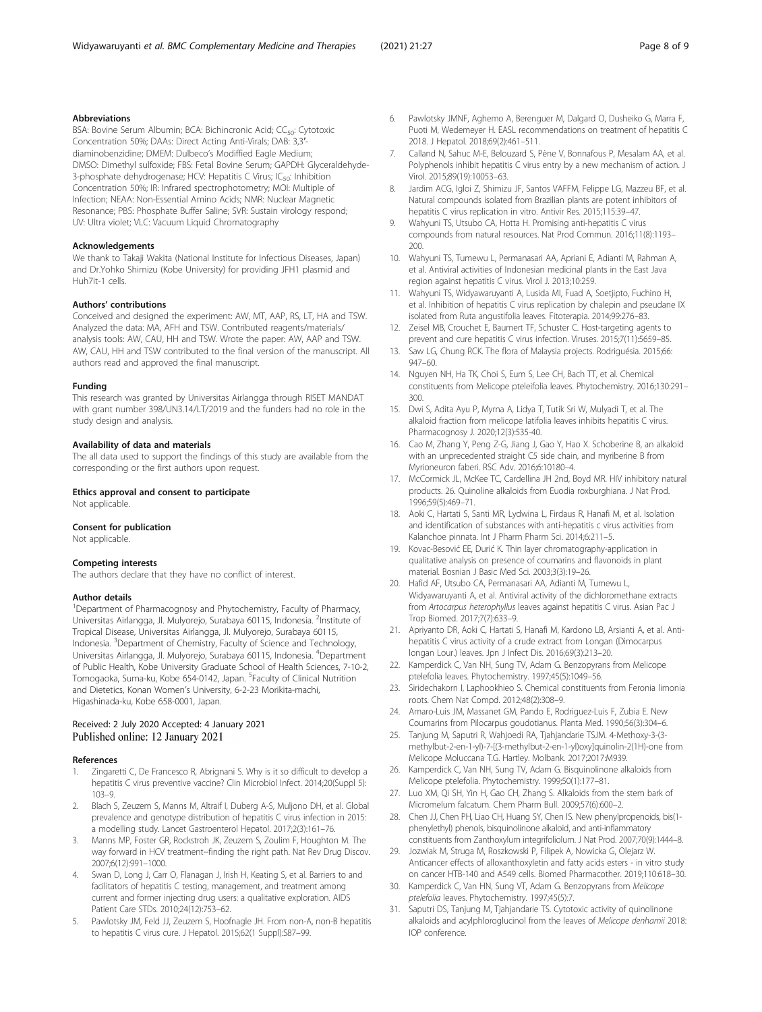# <span id="page-7-0"></span>Abbreviations

BSA: Bovine Serum Albumin; BCA: Bichincronic Acid; CC<sub>50</sub>: Cytotoxic Concentration 50%; DAAs: Direct Acting Anti-Virals; DAB: 3,3′ diaminobenzidine; DMEM: Dulbeco's Modiffied Eagle Medium; DMSO: Dimethyl sulfoxide; FBS: Fetal Bovine Serum; GAPDH: Glyceraldehyde-3-phosphate dehydrogenase; HCV: Hepatitis C Virus; IC<sub>50</sub>: Inhibition Concentration 50%; IR: Infrared spectrophotometry; MOI: Multiple of Infection; NEAA: Non-Essential Amino Acids; NMR: Nuclear Magnetic Resonance; PBS: Phosphate Buffer Saline; SVR: Sustain virology respond; UV: Ultra violet; VLC: Vacuum Liquid Chromatography

#### Acknowledgements

We thank to Takaji Wakita (National Institute for Infectious Diseases, Japan) and Dr.Yohko Shimizu (Kobe University) for providing JFH1 plasmid and Huh7it-1 cells.

#### Authors' contributions

Conceived and designed the experiment: AW, MT, AAP, RS, LT, HA and TSW. Analyzed the data: MA, AFH and TSW. Contributed reagents/materials/ analysis tools: AW, CAU, HH and TSW. Wrote the paper: AW, AAP and TSW. AW, CAU, HH and TSW contributed to the final version of the manuscript. All authors read and approved the final manuscript.

#### Funding

This research was granted by Universitas Airlangga through RISET MANDAT with grant number 398/UN3.14/LT/2019 and the funders had no role in the study design and analysis.

#### Availability of data and materials

The all data used to support the findings of this study are available from the corresponding or the first authors upon request.

#### Ethics approval and consent to participate Not applicable.

#### Consent for publication

Not applicable.

#### Competing interests

The authors declare that they have no conflict of interest.

#### Author details

<sup>1</sup>Department of Pharmacognosy and Phytochemistry, Faculty of Pharmacy, Universitas Airlangga, Jl. Mulyorejo, Surabaya 60115, Indonesia. <sup>2</sup>Institute of Tropical Disease, Universitas Airlangga, Jl. Mulyorejo, Surabaya 60115, Indonesia. <sup>3</sup>Department of Chemistry, Faculty of Science and Technology, Universitas Airlangga, Jl. Mulyorejo, Surabaya 60115, Indonesia. <sup>4</sup>Department of Public Health, Kobe University Graduate School of Health Sciences, 7-10-2, Tomogaoka, Suma-ku, Kobe 654-0142, Japan. <sup>5</sup>Faculty of Clinical Nutrition and Dietetics, Konan Women's University, 6-2-23 Morikita-machi, Higashinada-ku, Kobe 658-0001, Japan.

### Received: 2 July 2020 Accepted: 4 January 2021 Published online: 12 January 2021

#### References

- 1. Zingaretti C, De Francesco R, Abrignani S. Why is it so difficult to develop a hepatitis C virus preventive vaccine? Clin Microbiol Infect. 2014;20(Suppl 5): 103–9.
- 2. Blach S, Zeuzem S, Manns M, Altraif I, Duberg A-S, Muljono DH, et al. Global prevalence and genotype distribution of hepatitis C virus infection in 2015: a modelling study. Lancet Gastroenterol Hepatol. 2017;2(3):161–76.
- 3. Manns MP, Foster GR, Rockstroh JK, Zeuzem S, Zoulim F, Houghton M. The way forward in HCV treatment--finding the right path. Nat Rev Drug Discov. 2007;6(12):991–1000.
- 4. Swan D, Long J, Carr O, Flanagan J, Irish H, Keating S, et al. Barriers to and facilitators of hepatitis C testing, management, and treatment among current and former injecting drug users: a qualitative exploration. AIDS Patient Care STDs. 2010;24(12):753–62.
- 5. Pawlotsky JM, Feld JJ, Zeuzem S, Hoofnagle JH. From non-A, non-B hepatitis to hepatitis C virus cure. J Hepatol. 2015;62(1 Suppl):S87–99.
- 6. Pawlotsky JMNF, Aghemo A, Berenguer M, Dalgard O, Dusheiko G, Marra F, Puoti M, Wedemeyer H. EASL recommendations on treatment of hepatitis C 2018. J Hepatol. 2018;69(2):461–511.
- Calland N, Sahuc M-E, Belouzard S, Pène V, Bonnafous P, Mesalam AA, et al. Polyphenols inhibit hepatitis C virus entry by a new mechanism of action. J Virol. 2015;89(19):10053–63.
- 8. Jardim ACG, Igloi Z, Shimizu JF, Santos VAFFM, Felippe LG, Mazzeu BF, et al. Natural compounds isolated from Brazilian plants are potent inhibitors of hepatitis C virus replication in vitro. Antivir Res. 2015;115:39–47.
- 9. Wahyuni TS, Utsubo CA, Hotta H. Promising anti-hepatitis C virus compounds from natural resources. Nat Prod Commun. 2016;11(8):1193– 200.
- 10. Wahyuni TS, Tumewu L, Permanasari AA, Apriani E, Adianti M, Rahman A, et al. Antiviral activities of Indonesian medicinal plants in the East Java region against hepatitis C virus. Virol J. 2013;10:259.
- 11. Wahyuni TS, Widyawaruyanti A, Lusida MI, Fuad A, Soetjipto, Fuchino H, et al. Inhibition of hepatitis C virus replication by chalepin and pseudane IX isolated from Ruta angustifolia leaves. Fitoterapia. 2014;99:276–83.
- 12. Zeisel MB, Crouchet E, Baumert TF, Schuster C. Host-targeting agents to prevent and cure hepatitis C virus infection. Viruses. 2015;7(11):5659–85.
- 13. Saw LG, Chung RCK. The flora of Malaysia projects. Rodriguésia. 2015;66: 947–60.
- 14. Nguyen NH, Ha TK, Choi S, Eum S, Lee CH, Bach TT, et al. Chemical constituents from Melicope pteleifolia leaves. Phytochemistry. 2016;130:291– 300.
- 15. Dwi S, Adita Ayu P, Myrna A, Lidya T, Tutik Sri W, Mulyadi T, et al. The alkaloid fraction from melicope latifolia leaves inhibits hepatitis C virus. Pharmacognosy J. 2020;12(3):535-40.
- 16. Cao M, Zhang Y, Peng Z-G, Jiang J, Gao Y, Hao X. Schoberine B, an alkaloid with an unprecedented straight C5 side chain, and myriberine B from Myrioneuron faberi. RSC Adv. 2016;6:10180–4.
- 17. McCormick JL, McKee TC, Cardellina JH 2nd, Boyd MR. HIV inhibitory natural products. 26. Quinoline alkaloids from Euodia roxburghiana. J Nat Prod. 1996;59(5):469–71.
- 18. Aoki C, Hartati S, Santi MR, Lydwina L, Firdaus R, Hanafi M, et al. Isolation and identification of substances with anti-hepatitis c virus activities from Kalanchoe pinnata. Int J Pharm Pharm Sci. 2014;6:211–5.
- 19. Kovac-Besović EE, Durić K. Thin layer chromatography-application in qualitative analysis on presence of coumarins and flavonoids in plant material. Bosnian J Basic Med Sci. 2003;3(3):19–26.
- 20. Hafid AF, Utsubo CA, Permanasari AA, Adianti M, Tumewu L, Widyawaruyanti A, et al. Antiviral activity of the dichloromethane extracts from Artocarpus heterophyllus leaves against hepatitis C virus. Asian Pac J Trop Biomed. 2017;7(7):633–9.
- 21. Apriyanto DR, Aoki C, Hartati S, Hanafi M, Kardono LB, Arsianti A, et al. Antihepatitis C virus activity of a crude extract from Longan (Dimocarpus longan Lour.) leaves. Jpn J Infect Dis. 2016;69(3):213–20.
- 22. Kamperdick C, Van NH, Sung TV, Adam G. Benzopyrans from Melicope ptelefolia leaves. Phytochemistry. 1997;45(5):1049–56.
- 23. Siridechakorn I, Laphookhieo S. Chemical constituents from Feronia limonia roots. Chem Nat Compd. 2012;48(2):308–9.
- 24. Amaro-Luis JM, Massanet GM, Pando E, Rodriguez-Luis F, Zubia E. New Coumarins from Pilocarpus goudotianus. Planta Med. 1990;56(3):304–6.
- 25. Tanjung M, Saputri R, Wahjoedi RA, Tjahjandarie TSJM. 4-Methoxy-3-(3 methylbut-2-en-1-yl)-7-[(3-methylbut-2-en-1-yl)oxy]quinolin-2(1H)-one from Melicope Moluccana T.G. Hartley. Molbank. 2017;2017:M939.
- 26. Kamperdick C, Van NH, Sung TV, Adam G. Bisquinolinone alkaloids from Melicope ptelefolia. Phytochemistry. 1999;50(1):177–81.
- 27. Luo XM, Qi SH, Yin H, Gao CH, Zhang S. Alkaloids from the stem bark of Micromelum falcatum. Chem Pharm Bull. 2009;57(6):600–2.
- 28. Chen JJ, Chen PH, Liao CH, Huang SY, Chen IS. New phenylpropenoids, bis(1 phenylethyl) phenols, bisquinolinone alkaloid, and anti-inflammatory constituents from Zanthoxylum integrifoliolum. J Nat Prod. 2007;70(9):1444–8.
- 29. Jozwiak M, Struga M, Roszkowski P, Filipek A, Nowicka G, Olejarz W. Anticancer effects of alloxanthoxyletin and fatty acids esters - in vitro study on cancer HTB-140 and A549 cells. Biomed Pharmacother. 2019;110:618–30.
- 30. Kamperdick C, Van HN, Sung VT, Adam G. Benzopyrans from Melicope ptelefolia leaves. Phytochemistry. 1997;45(5):7.
- 31. Saputri DS, Tanjung M, Tjahjandarie TS. Cytotoxic activity of quinolinone alkaloids and acylphloroglucinol from the leaves of Melicope denhamii 2018: IOP conference.